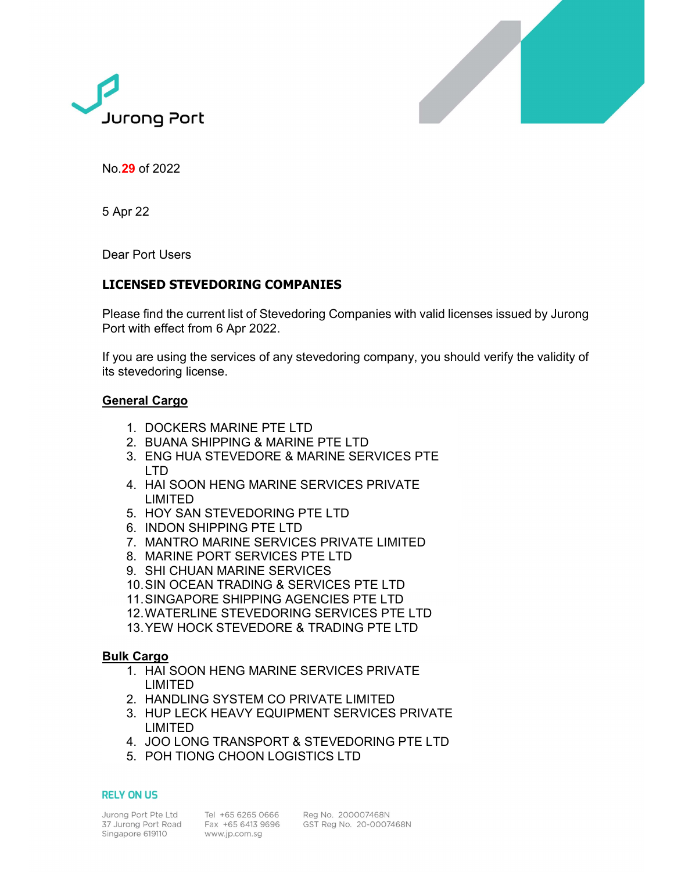



No.29 of 2022

5 Apr 22

Dear Port Users

# LICENSED STEVEDORING COMPANIES

Please find the current list of Stevedoring Companies with valid licenses issued by Jurong Port with effect from 6 Apr 2022.

If you are using the services of any stevedoring company, you should verify the validity of its stevedoring license.

## General Cargo

- 1. DOCKERS MARINE PTE LTD
- 2. BUANA SHIPPING & MARINE PTE LTD
- 3. ENG HUA STEVEDORE & MARINE SERVICES PTE LTD
- 4. HAI SOON HENG MARINE SERVICES PRIVATE LIMITED
- 5. HOY SAN STEVEDORING PTE LTD
- 6. INDON SHIPPING PTE LTD
- 7. MANTRO MARINE SERVICES PRIVATE LIMITED
- 8. MARINE PORT SERVICES PTE LTD
- 9. SHI CHUAN MARINE SERVICES
- 10. SIN OCEAN TRADING & SERVICES PTE LTD
- 11. SINGAPORE SHIPPING AGENCIES PTE LTD
- 12. WATERLINE STEVEDORING SERVICES PTE LTD
- 13.YEW HOCK STEVEDORE & TRADING PTE LTD

### Bulk Cargo

- 1. HAI SOON HENG MARINE SERVICES PRIVATE LIMITED
- 2. HANDLING SYSTEM CO PRIVATE LIMITED
- 3. HUP LECK HEAVY EQUIPMENT SERVICES PRIVATE LIMITED
- 4. JOO LONG TRANSPORT & STEVEDORING PTE LTD
- 5. POH TIONG CHOON LOGISTICS LTD

#### **RELY ON US**

Jurong Port Pte Ltd Tel +65 6265 0666<br>37 Jurong Port Road Fax +65 6413 9696 Singapore 619110

www.jp.com.sg

Reg No. 200007468N GST Reg No. 20-0007468N